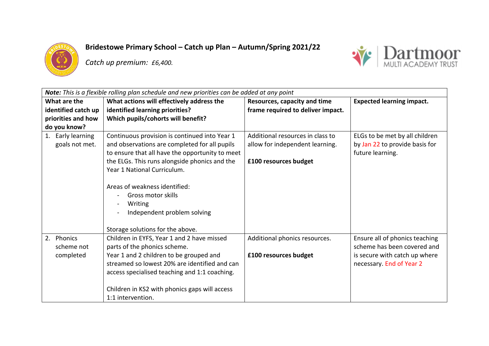

**Bridestowe Primary School – Catch up Plan – Autumn/Spring 2021/22**

*Catch up premium: £6,400.* 



| <b>Note:</b> This is a flexible rolling plan schedule and new priorities can be added at any point |                                                                                                                                                                                                                                                                                                                                    |                                                                                              |                                                                                                                            |
|----------------------------------------------------------------------------------------------------|------------------------------------------------------------------------------------------------------------------------------------------------------------------------------------------------------------------------------------------------------------------------------------------------------------------------------------|----------------------------------------------------------------------------------------------|----------------------------------------------------------------------------------------------------------------------------|
| What are the                                                                                       | What actions will effectively address the                                                                                                                                                                                                                                                                                          | Resources, capacity and time                                                                 | <b>Expected learning impact.</b>                                                                                           |
| identified catch up                                                                                | identified learning priorities?                                                                                                                                                                                                                                                                                                    | frame required to deliver impact.                                                            |                                                                                                                            |
| priorities and how                                                                                 | Which pupils/cohorts will benefit?                                                                                                                                                                                                                                                                                                 |                                                                                              |                                                                                                                            |
| do you know?                                                                                       |                                                                                                                                                                                                                                                                                                                                    |                                                                                              |                                                                                                                            |
| 1. Early learning<br>goals not met.                                                                | Continuous provision is continued into Year 1<br>and observations are completed for all pupils<br>to ensure that all have the opportunity to meet<br>the ELGs. This runs alongside phonics and the<br>Year 1 National Curriculum.<br>Areas of weakness identified:<br>Gross motor skills<br>Writing<br>Independent problem solving | Additional resources in class to<br>allow for independent learning.<br>£100 resources budget | ELGs to be met by all children<br>by Jan 22 to provide basis for<br>future learning.                                       |
|                                                                                                    | Storage solutions for the above.                                                                                                                                                                                                                                                                                                   |                                                                                              |                                                                                                                            |
| 2. Phonics<br>scheme not<br>completed                                                              | Children in EYFS, Year 1 and 2 have missed<br>parts of the phonics scheme.<br>Year 1 and 2 children to be grouped and<br>streamed so lowest 20% are identified and can<br>access specialised teaching and 1:1 coaching.                                                                                                            | Additional phonics resources.<br>£100 resources budget                                       | Ensure all of phonics teaching<br>scheme has been covered and<br>is secure with catch up where<br>necessary. End of Year 2 |
|                                                                                                    | Children in KS2 with phonics gaps will access<br>1:1 intervention.                                                                                                                                                                                                                                                                 |                                                                                              |                                                                                                                            |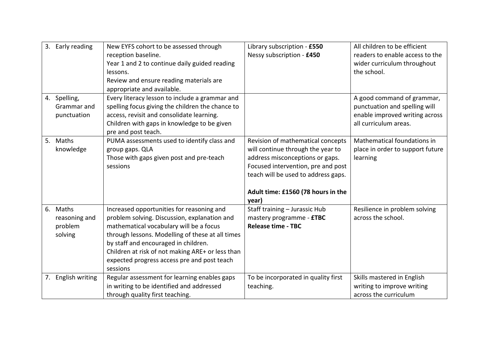| 3. Early reading<br>4. Spelling,                | New EYFS cohort to be assessed through<br>reception baseline.<br>Year 1 and 2 to continue daily guided reading<br>lessons.<br>Review and ensure reading materials are<br>appropriate and available.<br>Every literacy lesson to include a grammar and                                                                                           | Library subscription - £550<br>Nessy subscription - £450                                                                                                                                                                              | All children to be efficient<br>readers to enable access to the<br>wider curriculum throughout<br>the school.<br>A good command of grammar, |
|-------------------------------------------------|-------------------------------------------------------------------------------------------------------------------------------------------------------------------------------------------------------------------------------------------------------------------------------------------------------------------------------------------------|---------------------------------------------------------------------------------------------------------------------------------------------------------------------------------------------------------------------------------------|---------------------------------------------------------------------------------------------------------------------------------------------|
| Grammar and<br>punctuation                      | spelling focus giving the children the chance to<br>access, revisit and consolidate learning.<br>Children with gaps in knowledge to be given<br>pre and post teach.                                                                                                                                                                             |                                                                                                                                                                                                                                       | punctuation and spelling will<br>enable improved writing across<br>all curriculum areas.                                                    |
| 5. Maths<br>knowledge                           | PUMA assessments used to identify class and<br>group gaps. QLA<br>Those with gaps given post and pre-teach<br>sessions                                                                                                                                                                                                                          | Revision of mathematical concepts<br>will continue through the year to<br>address misconceptions or gaps.<br>Focused intervention, pre and post<br>teach will be used to address gaps.<br>Adult time: £1560 (78 hours in the<br>year) | Mathematical foundations in<br>place in order to support future<br>learning                                                                 |
| 6. Maths<br>reasoning and<br>problem<br>solving | Increased opportunities for reasoning and<br>problem solving. Discussion, explanation and<br>mathematical vocabulary will be a focus<br>through lessons. Modelling of these at all times<br>by staff and encouraged in children.<br>Children at risk of not making ARE+ or less than<br>expected progress access pre and post teach<br>sessions | Staff training - Jurassic Hub<br>mastery programme - <b>£TBC</b><br><b>Release time - TBC</b>                                                                                                                                         | Resilience in problem solving<br>across the school.                                                                                         |
| 7. English writing                              | Regular assessment for learning enables gaps<br>in writing to be identified and addressed<br>through quality first teaching.                                                                                                                                                                                                                    | To be incorporated in quality first<br>teaching.                                                                                                                                                                                      | Skills mastered in English<br>writing to improve writing<br>across the curriculum                                                           |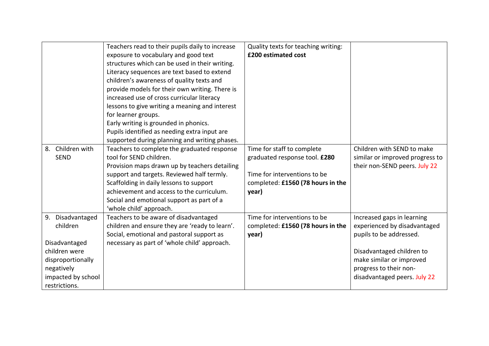|                     | Teachers read to their pupils daily to increase | Quality texts for teaching writing: |                                 |
|---------------------|-------------------------------------------------|-------------------------------------|---------------------------------|
|                     | exposure to vocabulary and good text            | £200 estimated cost                 |                                 |
|                     | structures which can be used in their writing.  |                                     |                                 |
|                     | Literacy sequences are text based to extend     |                                     |                                 |
|                     | children's awareness of quality texts and       |                                     |                                 |
|                     | provide models for their own writing. There is  |                                     |                                 |
|                     | increased use of cross curricular literacy      |                                     |                                 |
|                     | lessons to give writing a meaning and interest  |                                     |                                 |
|                     | for learner groups.                             |                                     |                                 |
|                     | Early writing is grounded in phonics.           |                                     |                                 |
|                     | Pupils identified as needing extra input are    |                                     |                                 |
|                     | supported during planning and writing phases.   |                                     |                                 |
| Children with<br>8. | Teachers to complete the graduated response     | Time for staff to complete          | Children with SEND to make      |
| <b>SEND</b>         | tool for SEND children.                         | graduated response tool. £280       | similar or improved progress to |
|                     | Provision maps drawn up by teachers detailing   |                                     | their non-SEND peers. July 22   |
|                     | support and targets. Reviewed half termly.      | Time for interventions to be        |                                 |
|                     | Scaffolding in daily lessons to support         | completed: £1560 (78 hours in the   |                                 |
|                     | achievement and access to the curriculum.       | year)                               |                                 |
|                     | Social and emotional support as part of a       |                                     |                                 |
|                     | 'whole child' approach.                         |                                     |                                 |
| Disadvantaged<br>9. | Teachers to be aware of disadvantaged           | Time for interventions to be        | Increased gaps in learning      |
| children            | children and ensure they are 'ready to learn'.  | completed: £1560 (78 hours in the   | experienced by disadvantaged    |
|                     | Social, emotional and pastoral support as       | year)                               | pupils to be addressed.         |
| Disadvantaged       | necessary as part of 'whole child' approach.    |                                     |                                 |
| children were       |                                                 |                                     | Disadvantaged children to       |
| disproportionally   |                                                 |                                     | make similar or improved        |
| negatively          |                                                 |                                     | progress to their non-          |
| impacted by school  |                                                 |                                     | disadvantaged peers. July 22    |
| restrictions.       |                                                 |                                     |                                 |